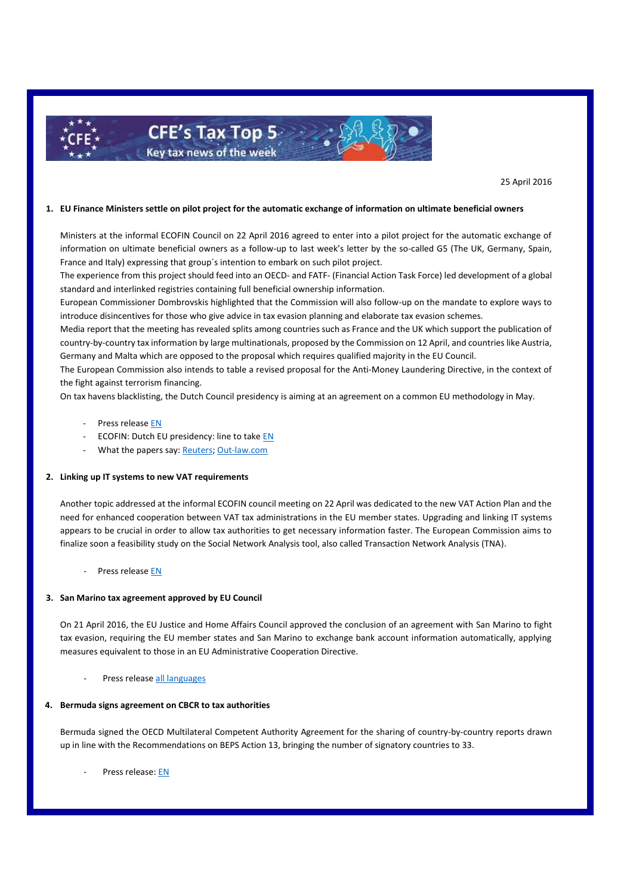

25 April 2016

## **1. EU Finance Ministers settle on pilot project for the automatic exchange of information on ultimate beneficial owners**

Ministers at the informal ECOFIN Council on 22 April 2016 agreed to enter into a pilot project for the automatic exchange of information on ultimate beneficial owners as a follow-up to last week's letter by the so-called G5 (The UK, Germany, Spain, France and Italy) expressing that group´s intention to embark on such pilot project.

The experience from this project should feed into an OECD- and FATF- (Financial Action Task Force) led development of a global standard and interlinked registries containing full beneficial ownership information.

European Commissioner Dombrovskis highlighted that the Commission will also follow-up on the mandate to explore ways to introduce disincentives for those who give advice in tax evasion planning and elaborate tax evasion schemes.

Media report that the meeting has revealed splits among countries such as France and the UK which support the publication of country-by-country tax information by large multinationals, proposed by the Commission on 12 April, and countries like Austria, Germany and Malta which are opposed to the proposal which requires qualified majority in the EU Council.

The European Commission also intends to table a revised proposal for the Anti-Money Laundering Directive, in the context of the fight against terrorism financing.

On tax havens blacklisting, the Dutch Council presidency is aiming at an agreement on a common EU methodology in May.

- Press release [EN](http://europa.eu/rapid/press-release_SPEECH-16-1551_en.htm)
- ECOFIN: Dutch EU presidency: line to tak[e EN](http://english.eu2016.nl/documents/publications/2016/04/22/informal-ecofin---line-to-take-nl-presidency)
- What the papers say: [Reuters;](http://mobile.reuters.com/article/idUSKCN0XG28T) [Out-law.com](http://www.out-law.com/en/articles/2016/april/eu-should-increase-transparency-on-ownership-of-companies-and-trusts-says-commissioner/)

## **2. Linking up IT systems to new VAT requirements**

Another topic addressed at the informal ECOFIN council meeting on 22 April was dedicated to the new VAT Action Plan and the need for enhanced cooperation between VAT tax administrations in the EU member states. Upgrading and linking IT systems appears to be crucial in order to allow tax authorities to get necessary information faster. The European Commission aims to finalize soon a feasibility study on the Social Network Analysis tool, also called Transaction Network Analysis (TNA).

Press release [EN](http://europa.eu/rapid/press-release_SPEECH-16-1552_en.htm)

#### **3. San Marino tax agreement approved by EU Council**

On 21 April 2016, the EU Justice and Home Affairs Council approved the conclusion of an agreement with San Marino to fight tax evasion, requiring the EU member states and San Marino to exchange bank account information automatically, applying measures equivalent to those in an EU Administrative Cooperation Directive.

Press release [all languages](http://www.consilium.europa.eu/en/press/press-releases/2015/12/08-ecofin-eu-san-marino-taxation-agreement/)

# **4. Bermuda signs agreement on CBCR to tax authorities**

Bermuda signed the OECD Multilateral Competent Authority Agreement for the sharing of country-by-country reports drawn up in line with the Recommendations on BEPS Action 13, bringing the number of signatory countries to 33.

Press release: [EN](http://www.oecd.org/tax/bermuda-joins-agreement-to-automatically-share-beps-country-by-country-reports.htm)